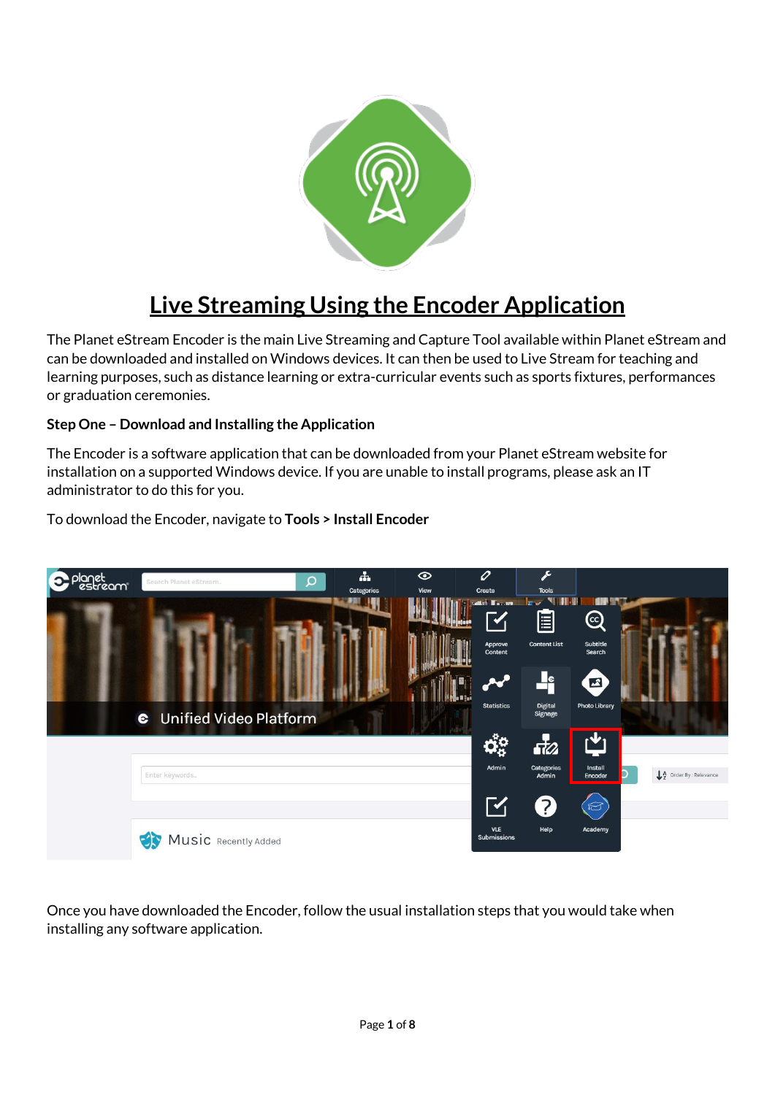

# **Live Streaming Using the Encoder Application**

The Planet eStream Encoder is the main Live Streaming and Capture Tool available within Planet eStream and can be downloaded and installed on Windows devices. It can then be used to Live Stream for teaching and learning purposes, such as distance learning or extra-curricular events such as sports fixtures, performances or graduation ceremonies.

## **Step One – Download and Installing the Application**

The Encoder is a software application that can be downloaded from your Planet eStream website for installation on a supported Windows device. If you are unable to install programs, please ask an IT administrator to do this for you.



## To download the Encoder, navigate to **Tools > Install Encoder**

Once you have downloaded the Encoder, follow the usual installation steps that you would take when installing any software application.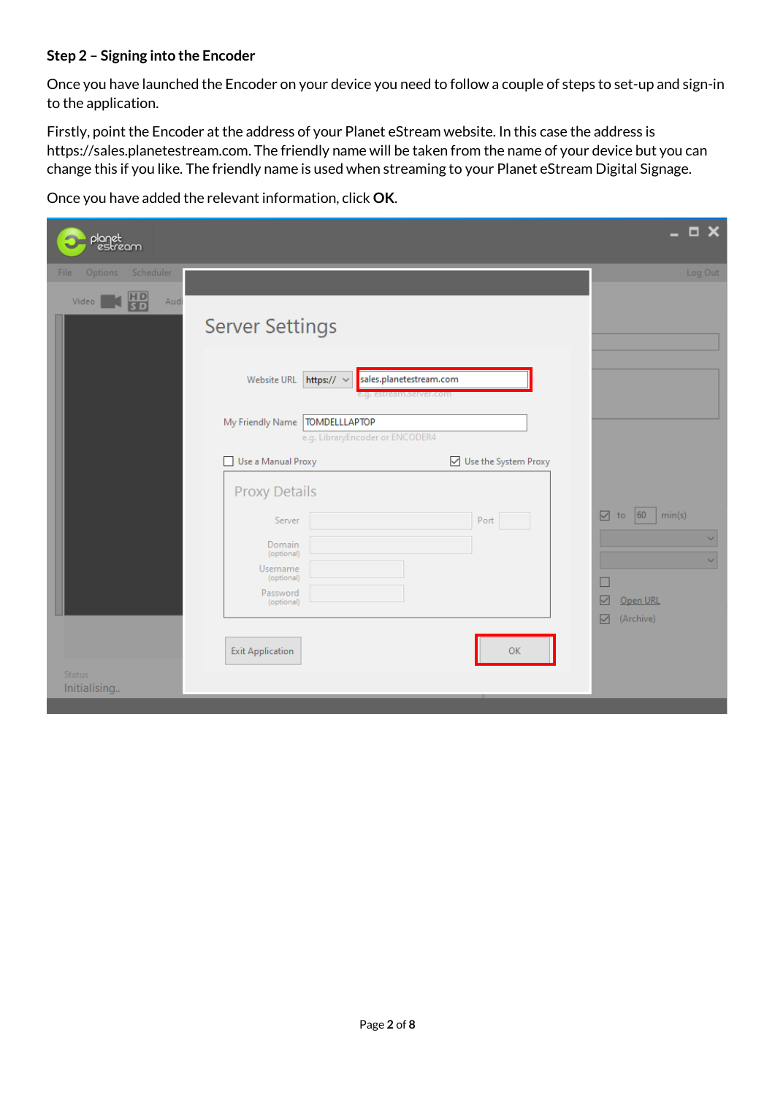## **Step 2 – Signing into the Encoder**

Once you have launched the Encoder on your device you need to follow a couple of steps to set-up and sign-in to the application.

Firstly, point the Encoder at the address of your Planet eStream website. In this case the address is https://sales.planetestream.com. The friendly name will be taken from the name of your device but you can change this if you like. The friendly name is used when streaming to your Planet eStream Digital Signage.

Once you have added the relevant information, click **OK**.

| planet<br>estream             |                                                                     |                                                    | $\square$ $\times$<br>-                                      |
|-------------------------------|---------------------------------------------------------------------|----------------------------------------------------|--------------------------------------------------------------|
| Scheduler<br>File<br>Options  |                                                                     |                                                    | Log Out                                                      |
| 冊<br>Video<br>Audi            | <b>Server Settings</b>                                              |                                                    |                                                              |
|                               | Website URL<br>https:// $\sim$                                      | sales.planetestream.com<br>e.g. estream.server.com |                                                              |
|                               | My Friendly Name   TOMDELLLAPTOP<br>e.g. LibraryEncoder or ENCODER4 |                                                    |                                                              |
|                               | Use a Manual Proxy                                                  | □ Use the System Proxy                             |                                                              |
|                               | <b>Proxy Details</b><br>Server                                      | Port                                               | to $ 60 $<br>☑<br>min(s)                                     |
|                               | Domain<br>(optional)<br>Username                                    |                                                    | $\checkmark$<br>$\checkmark$                                 |
|                               | (optional)<br>Password<br>(optional)                                |                                                    | Open URL<br>$\triangledown$<br>$\triangleright$<br>(Archive) |
|                               | <b>Exit Application</b>                                             | <b>OK</b>                                          |                                                              |
| <b>Status</b><br>Initialising |                                                                     |                                                    |                                                              |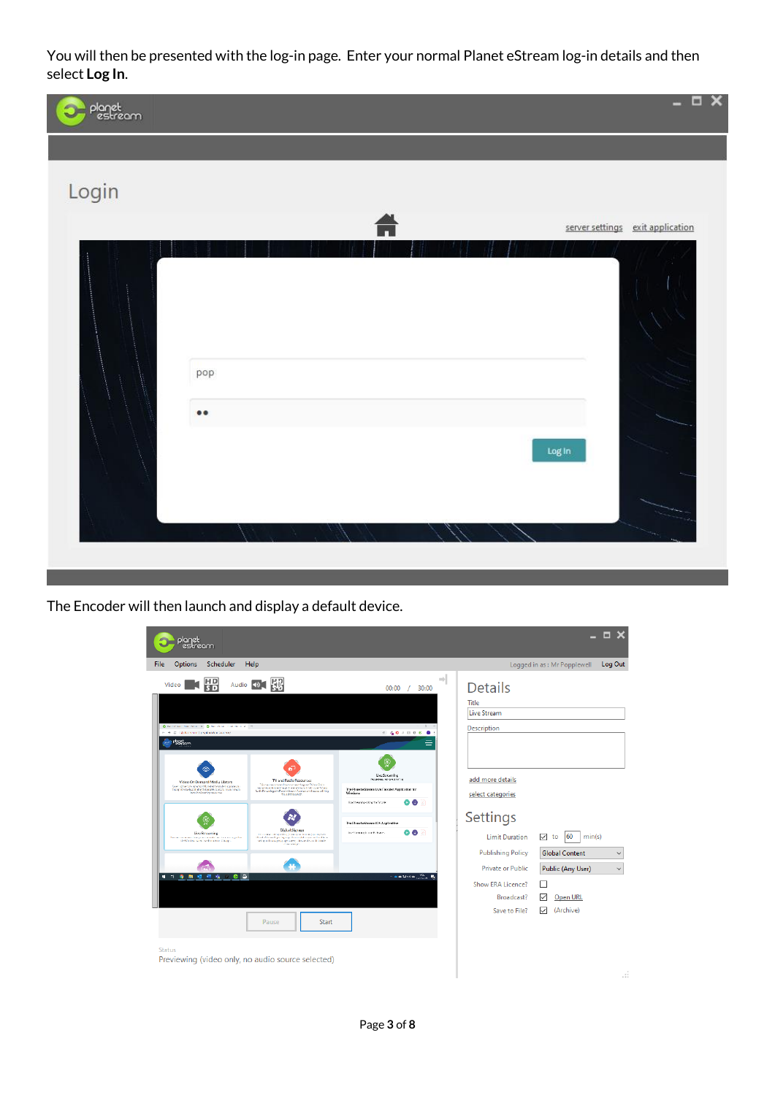You will then be presented with the log-in page. Enter your normal Planet eStream log-in details and then select **Log In**.



The Encoder will then launch and display a default device.

| planet<br>estream                                                                                                                                                                                                                                                                                                                                                                                                                                                                                                                                                                                                                                                                                                                                                                                                                                                                                                                                                                                                                                                                                                                                                                         |                                                                                                                                                                                                                                                                                                                     |                                                                                                                                                                                                                                                        | $\Box$ $\times$                                                                                                                                          |
|-------------------------------------------------------------------------------------------------------------------------------------------------------------------------------------------------------------------------------------------------------------------------------------------------------------------------------------------------------------------------------------------------------------------------------------------------------------------------------------------------------------------------------------------------------------------------------------------------------------------------------------------------------------------------------------------------------------------------------------------------------------------------------------------------------------------------------------------------------------------------------------------------------------------------------------------------------------------------------------------------------------------------------------------------------------------------------------------------------------------------------------------------------------------------------------------|---------------------------------------------------------------------------------------------------------------------------------------------------------------------------------------------------------------------------------------------------------------------------------------------------------------------|--------------------------------------------------------------------------------------------------------------------------------------------------------------------------------------------------------------------------------------------------------|----------------------------------------------------------------------------------------------------------------------------------------------------------|
| File<br>Options<br>Scheduler<br>Help                                                                                                                                                                                                                                                                                                                                                                                                                                                                                                                                                                                                                                                                                                                                                                                                                                                                                                                                                                                                                                                                                                                                                      |                                                                                                                                                                                                                                                                                                                     |                                                                                                                                                                                                                                                        | Log Out<br>Logged in as: Mr Popplewell                                                                                                                   |
| 噐<br>镠<br>Audio 4<br>Video<br>Charlotten, New Street, Charlotten, California, 2114<br>( - - - - - - a deader in property) [ O - - - - -<br>Pagat<br>Padasam<br>TV and Radio Resources<br>Video On Demand Media Library<br>. This counter connected have to access the great TV and And a resonance of the first state of the state of the state of the state of the state of the state of the state of the state of the state of the state of the state<br>Governing the cone repertual Planet editional administration of<br>the gothers leave of shirthearably pure to processe to<br>Rodio Recording the Planet Alexand Connect and Royalto and Filing<br>tunck in learning managerias.<br>TeachTissung.<br>Digital Signage<br>Live Streaming<br>the conservation and high program from a grantifical to<br>The contract in every how you can contribute the change of a substitute<br>Hence where all $g$ is appropriate in the<br>transmittive definition of the definition of the expression of the condition of<br>$\mathcal{O}$ is a second of the condition of the second of<br>$\mathcal{O}$<br>the Wednesday and include the Graph<br>$e$ $\circ$<br><br>Pause<br><b>Start</b> | $\Rightarrow$<br>30:00<br>$00:00$ /<br>≘<br>Live Streaming<br>Notabelisty, Indi-Senatricity<br>The Planet eStream Live Encoder Application for<br>Windows<br>$\bullet$ $\bullet$<br>Redovering-Bright Freeds:<br>The Planet efitnesmit35 Application<br>00 A<br>Invehicles made out this team.<br><b>CALIFO</b> WAR | <b>Details</b><br>Title<br><b>Live Stream</b><br>Description<br>add more details<br>select categories<br>Settings<br><b>Limit Duration</b><br><b>Publishing Policy</b><br>Private or Public<br><b>Show ERA Licence?</b><br>Broadcast?<br>Save to File? | ▽<br>60<br>min(s)<br>to<br><b>Global Content</b><br>$\checkmark$<br>Public (Any User)<br>$\checkmark$<br>П<br>$\checkmark$<br>Open URL<br>☑<br>(Archive) |
| <b>Status</b><br>Previewing (video only, no audio source selected)                                                                                                                                                                                                                                                                                                                                                                                                                                                                                                                                                                                                                                                                                                                                                                                                                                                                                                                                                                                                                                                                                                                        |                                                                                                                                                                                                                                                                                                                     |                                                                                                                                                                                                                                                        | J.                                                                                                                                                       |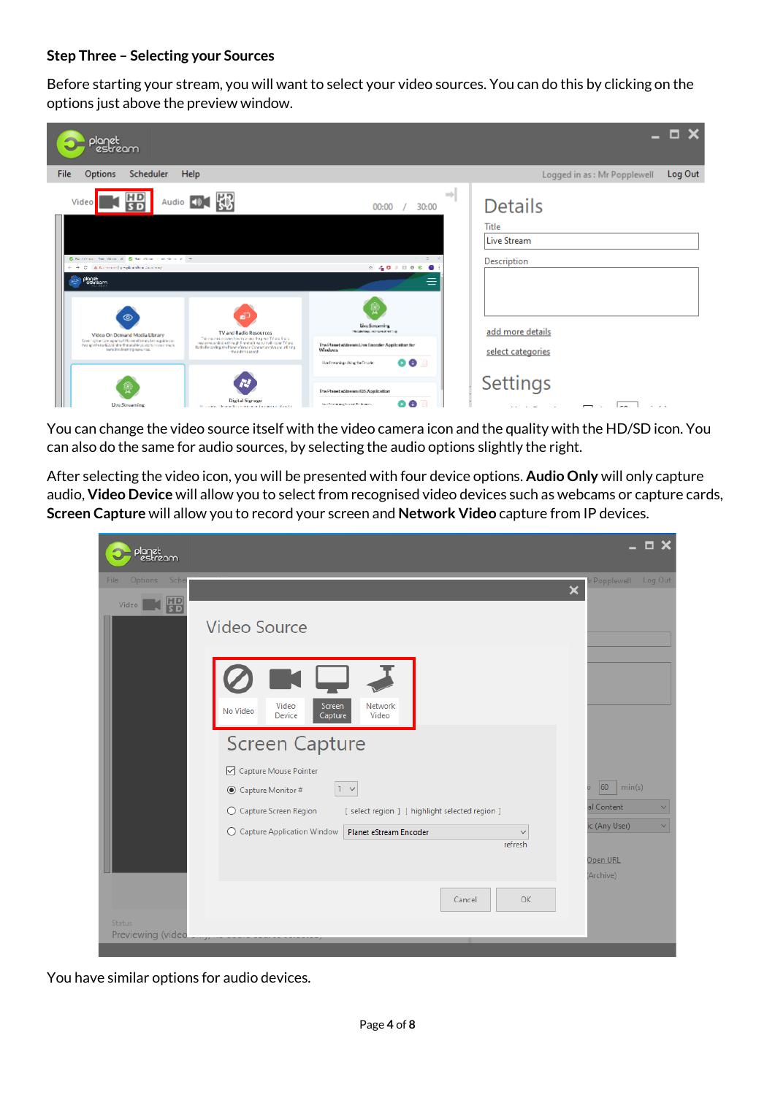#### **Step Three – Selecting your Sources**

Before starting your stream, you will want to select your video sources. You can do this by clicking on the options just above the preview window.



You can change the video source itself with the video camera icon and the quality with the HD/SD icon. You can also do the same for audio sources, by selecting the audio options slightly the right.

After selecting the video icon, you will be presented with four device options. **Audio Only** will only capture audio, **Video Device** will allow you to select from recognised video devices such as webcams or capture cards, **Screen Capture** will allow you to record your screen and **Network Video** capture from IP devices.

| planet<br>estream                                                          | $\square$ $\times$                                          |
|----------------------------------------------------------------------------|-------------------------------------------------------------|
| File<br>Options<br>Sche<br>問<br>Video<br><b>Video Source</b>               | Log Out<br>Popplewell<br>$\overline{\mathsf{x}}$            |
| Video<br>Network<br>Screen<br>No Video<br>Device<br>Capture<br>Video       |                                                             |
| <b>Screen Capture</b><br>Capture Mouse Pointer                             |                                                             |
| $1 - \sqrt{ }$<br>◉ Capture Monitor #                                      | 60<br>min(s)                                                |
| ○ Capture Screen Region<br>[ select region ] [ highlight selected region ] | al Content<br>$\checkmark$<br>ic (Any User)<br>$\checkmark$ |
| ○ Capture Application Window<br>Planet eStream Encoder<br>refresh          |                                                             |
|                                                                            | Open URL<br>(Archive)                                       |
| Cancel                                                                     | <b>OK</b>                                                   |
| Status<br>Previewing (video                                                |                                                             |

You have similar options for audio devices.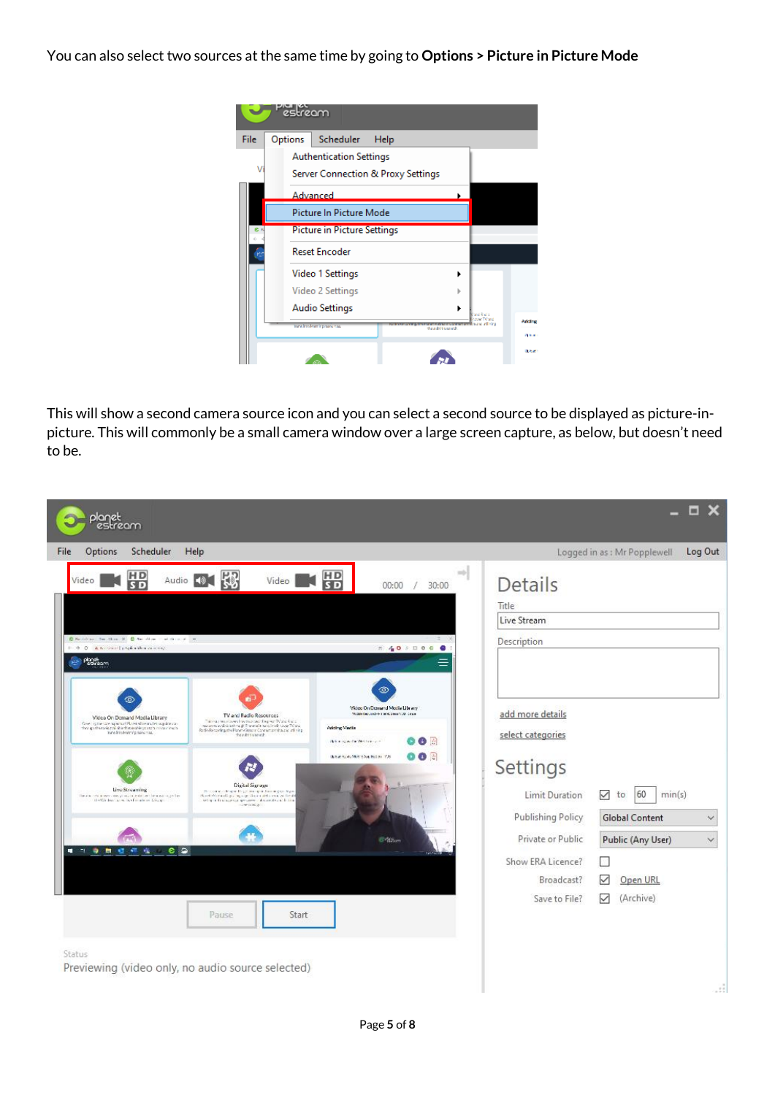You can also select two sources at the same time by going to **Options > Picture in Picture Mode**

| File      | Options | Scheduler<br>Help                                                                                             |                  |
|-----------|---------|---------------------------------------------------------------------------------------------------------------|------------------|
|           |         | <b>Authentication Settings</b>                                                                                |                  |
|           |         |                                                                                                               |                  |
|           |         | Server Connection & Proxy Settings                                                                            |                  |
|           |         | Advanced                                                                                                      |                  |
|           |         | Picture In Picture Mode                                                                                       |                  |
| <b>BR</b> |         | <b>Picture in Picture Settings</b>                                                                            |                  |
|           |         | <b>Reset Encoder</b>                                                                                          |                  |
|           |         | Video 1 Settings                                                                                              | ١                |
|           |         | Video 2 Settings                                                                                              |                  |
|           |         | <b>Audio Settings</b>                                                                                         | ٠                |
|           |         | King the form in prime the state of the first security in a<br>sand institutor in processes.<br>teachtis und. | <b>Adding!</b>   |
|           |         |                                                                                                               | <b>Defensein</b> |

This will show a second camera source icon and you can select a second source to be displayed as picture-inpicture. This will commonly be a small camera window over a large screen capture, as below, but doesn't need to be.

| planet<br>estream                                                                                                                                                                                                                                                                                                                                                                                                                                                                                                                                                                                                                                              | $ \Box$ $\times$                                                                                                                                                                                                                                                                            |
|----------------------------------------------------------------------------------------------------------------------------------------------------------------------------------------------------------------------------------------------------------------------------------------------------------------------------------------------------------------------------------------------------------------------------------------------------------------------------------------------------------------------------------------------------------------------------------------------------------------------------------------------------------------|---------------------------------------------------------------------------------------------------------------------------------------------------------------------------------------------------------------------------------------------------------------------------------------------|
| Scheduler<br>File<br>Options<br>Help                                                                                                                                                                                                                                                                                                                                                                                                                                                                                                                                                                                                                           | Log Out<br>Logged in as: Mr Popplewell                                                                                                                                                                                                                                                      |
| $\Rightarrow$<br>盟<br>冊<br>Audio 101<br>Video  <br>Video<br>00:00<br>30:00<br>Charles to the X Charles colder x =<br>+ + C A Nemand psykoaka Zonneg<br><b>240 0000</b><br><b>Park Page</b>                                                                                                                                                                                                                                                                                                                                                                                                                                                                     | <b>Details</b><br>Title<br>Live Stream<br>Description                                                                                                                                                                                                                                       |
| ග<br>Video On Demand Media Library<br>Modern Recurred - N 1984, Street 1987, Clinical<br>TV and Radio Resources<br>Video On Demand Media Library<br>This couple unique school of coupling was TV and R M of<br>Green system wave represented Planet administration in a guide state.<br>The diagnostic section of the structure of the context of the context.<br>manarons and the lattice of P promote non-Linux count TV and Radio Recording the Planer of State of Communications are left in g<br><b>Adding Media</b><br>Hans Into Jean's ing Hans Hau,<br>000<br><b>Information Westernam</b><br>$\bullet$ $\bullet$<br>details to 40 Metro Auction 1998. | add more details<br>select categories<br>Settings                                                                                                                                                                                                                                           |
| Digital Signage<br>Live Streaming<br>The connected expanding entrangely decreasing us into a<br>Planet Wilmark grant specific Channel and a real violate in<br>This can relate move a many international contractors and the<br>the Washers are a notice almost things.<br>set que la singe significance in local de cardo la sin<br>dwinkia.<br><b>EPS</b> Son<br>$e$ $\circ$<br>$\blacksquare$<br>身無理<br><b>STE</b><br>機<br>Pause<br>Start                                                                                                                                                                                                                   | 60<br><b>Limit Duration</b><br>$\checkmark$<br>min(s)<br>to<br>Publishing Policy<br><b>Global Content</b><br>$\checkmark$<br>Private or Public<br>Public (Any User)<br>$\checkmark$<br>Show ERA Licence?<br>$\mathcal{N}$<br>▽<br>Broadcast?<br>Open URL<br>Save to File?<br>(Archive)<br>☑ |
| Status<br>Previewing (video only, no audio source selected)                                                                                                                                                                                                                                                                                                                                                                                                                                                                                                                                                                                                    |                                                                                                                                                                                                                                                                                             |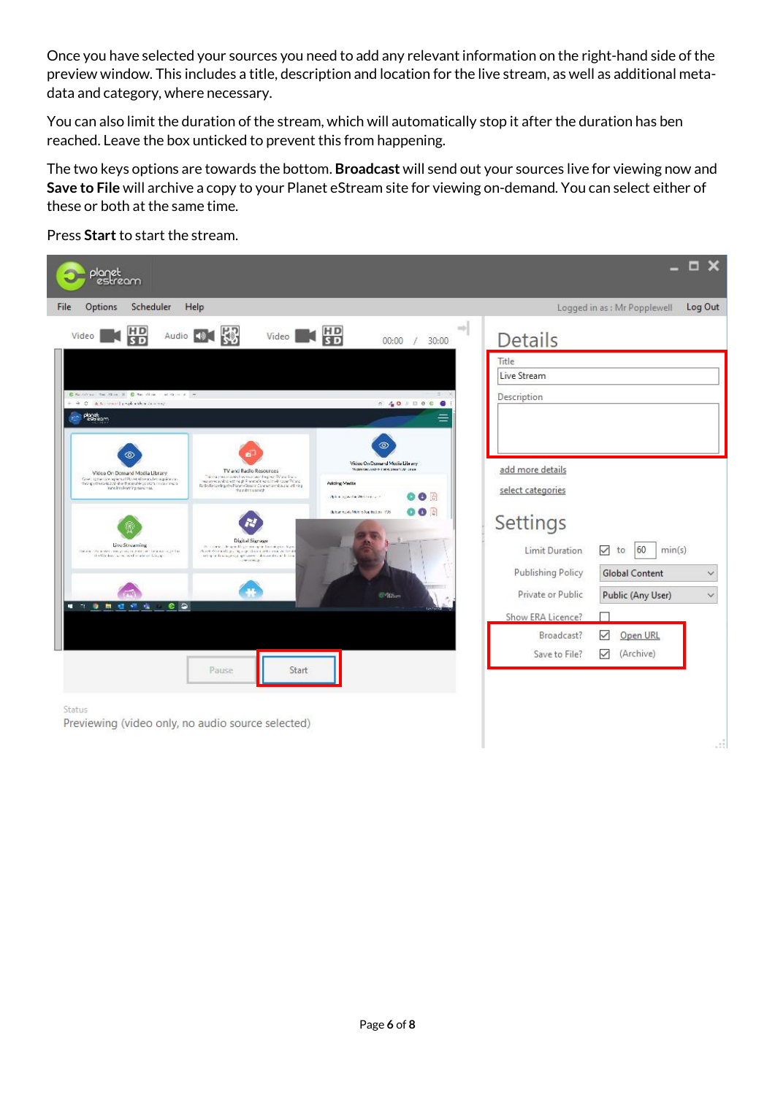Once you have selected your sources you need to add any relevant information on the right-hand side of the preview window. This includes a title, description and location for the live stream, as well as additional metadata and category, where necessary.

You can also limit the duration of the stream, which will automatically stop it after the duration has ben reached. Leave the box unticked to prevent this from happening.

The two keys options are towards the bottom. **Broadcast** will send out your sources live for viewing now and **Save to File** will archive a copy to your Planet eStream site for viewing on-demand. You can select either of these or both at the same time.

Press **Start** to start the stream.

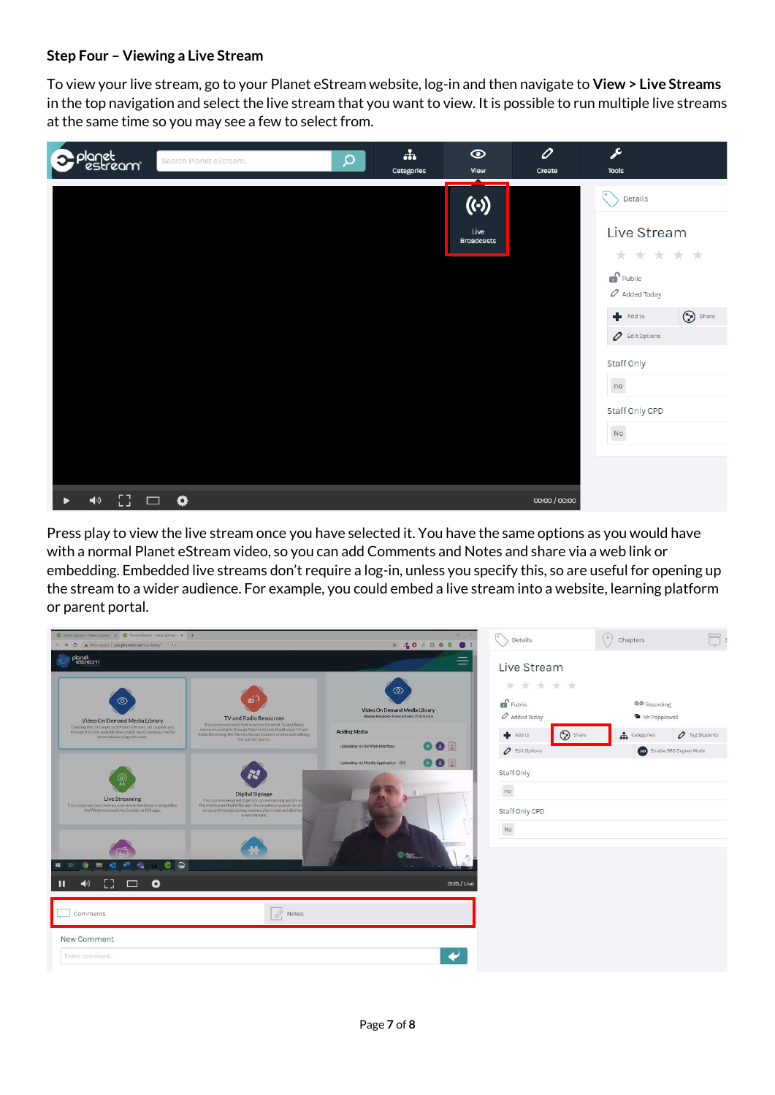#### **Step Four – Viewing a Live Stream**

To view your live stream, go to your Planet eStream website, log-in and then navigate to **View > Live Streams**  in the top navigation and select the live stream that you want to view. It is possible to run multiple live streams at the same time so you may see a few to select from.

| planet<br>Pestream                 | Search Planet eStream | $\mathsf{Q}$ | $\frac{1}{2}$<br>Categories | $\odot$<br>View                        | 0<br>Create   | j<br><b>Tools</b>                                            |
|------------------------------------|-----------------------|--------------|-----------------------------|----------------------------------------|---------------|--------------------------------------------------------------|
|                                    |                       |              |                             | $(\cdot)$<br>Live<br><b>Broadcasts</b> |               | c<br>Details<br>Live Stream                                  |
|                                    |                       |              |                             |                                        |               | * * * * *<br>$\mathbf{f}$ Public<br>$\mathscr O$ Added Today |
|                                    |                       |              |                             |                                        |               | $\bigcirc$ Share<br>Add to<br>$\varphi$ Edit Options         |
|                                    |                       |              |                             |                                        |               | Staff Only<br>no                                             |
|                                    |                       |              |                             |                                        |               | Staff Only CPD<br>No                                         |
| - 93 -<br>$\blacktriangleleft$ (i) | $\Box$ $\bullet$      |              |                             |                                        | 00:00 / 00:00 |                                                              |

Press play to view the live stream once you have selected it. You have the same options as you would have with a normal Planet eStream video, so you can add Comments and Notes and share via a web link or embedding. Embedded live streams don't require a log-in, unless you specify this, so are useful for opening up the stream to a wider audience. For example, you could embed a live stream into a website, learning platform or parent portal.